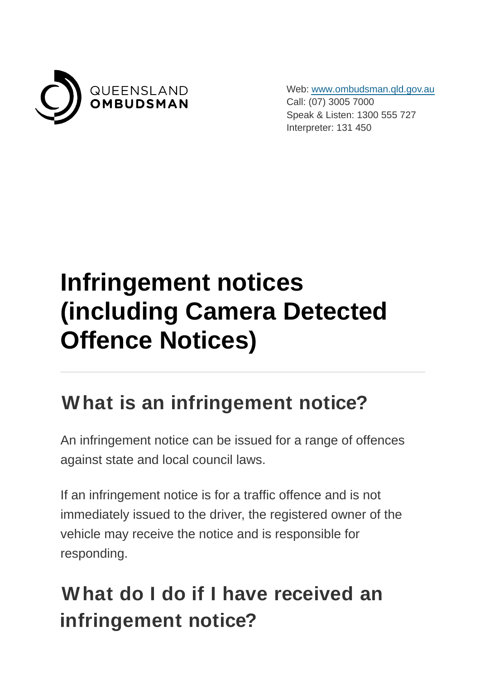

Web: [www.ombudsman.qld.gov.au](https://www.ombudsman.qld.gov.au/) Call: (07) 3005 7000 Speak & Listen: 1300 555 727 Interpreter: 131 450

# **Infringement notices (including Camera Detected Offence Notices)**

#### **What is an infringement notice?**

An infringement notice can be issued for a range of offences against state and local council laws.

If an infringement notice is for a traffic offence and is not immediately issued to the driver, the registered owner of the vehicle may receive the notice and is responsible for responding.

# **What do I do if I have received an infringement notice?**